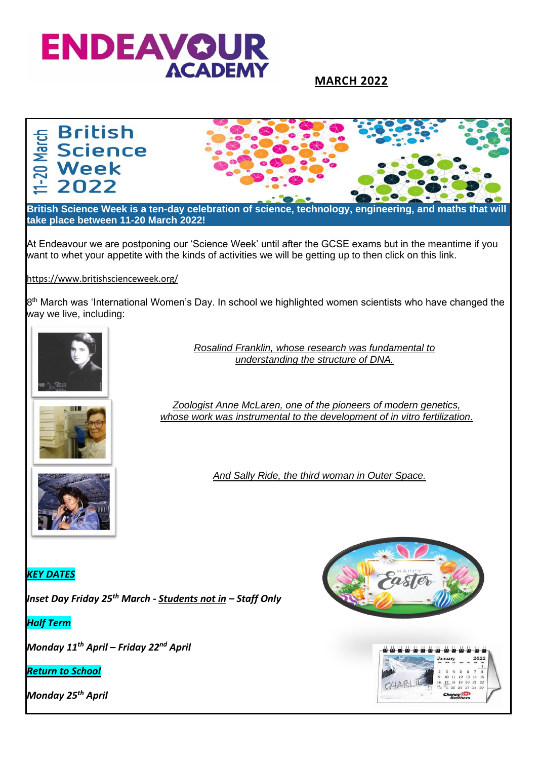

## **MARCH 2022**

# **British** -20 March **Science Week**<br>2022



**British Science Week is a ten-day celebration of science, technology, engineering, and maths that will take place between 11-20 March 2022!**

At Endeavour we are postponing our 'Science Week' until after the GCSE exams but in the meantime if you want to whet your appetite with the kinds of activities we will be getting up to then click on this link.

#### <https://www.britishscienceweek.org/>

8<sup>th</sup> March was 'International Women's Day. In school we highlighted women scientists who have changed the way we live, including:



*Rosalind Franklin, whose research was fundamental to understanding the structure of DNA.*



*Zoologist Anne McLaren, one of the pioneers of modern genetics, whose work was instrumental to the development of in vitro fertilization.*

*And Sally Ride, the third woman in Outer Space.*

*KEY DATES*

*Inset Day Friday 25th March - Students not in – Staff Only* 

*Half Term*

*Monday 11th April – Friday 22nd April* 

*Return to School*

*Monday 25th April* 



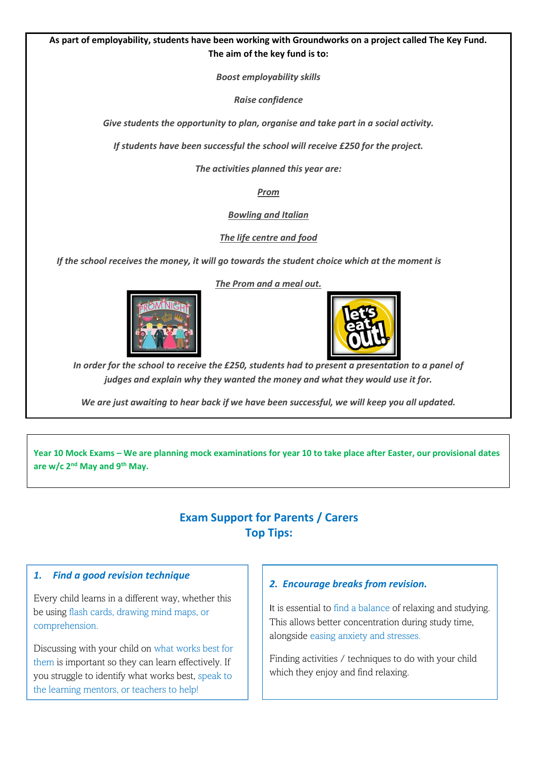#### **As part of employability, students have been working with Groundworks on a project called The Key Fund. The aim of the key fund is to:**

*Boost employability skills*

*Raise confidence*

*Give students the opportunity to plan, organise and take part in a social activity.*

*If students have been successful the school will receive £250 for the project.*

*The activities planned this year are:*

*Prom*

*Bowling and Italian*

*The life centre and food*

*If the school receives the money, it will go towards the student choice which at the moment is*

*The Prom and a meal out.*



*In order for the school to receive the £250, students had to present a presentation to a panel of judges and explain why they wanted the money and what they would use it for.*

*We are just awaiting to hear back if we have been successful, we will keep you all updated.*

**Year 10 Mock Exams – We are planning mock examinations for year 10 to take place after Easter, our provisional dates are w/c 2nd May and 9th May.** 

## **Exam Support for Parents / Carers Top Tips:**

#### *1. Find a good revision technique*

Every child learns in a different way, whether this be using flash cards, drawing mind maps, or comprehension.

Discussing with your child on what works best for them is important so they can learn effectively. If you struggle to identify what works best, speak to the learning mentors, or teachers to help!

#### *2. Encourage breaks from revision.*

It is essential to find a balance of relaxing and studying. This allows better concentration during study time, alongside easing anxiety and stresses.

Finding activities / techniques to do with your child which they enjoy and find relaxing.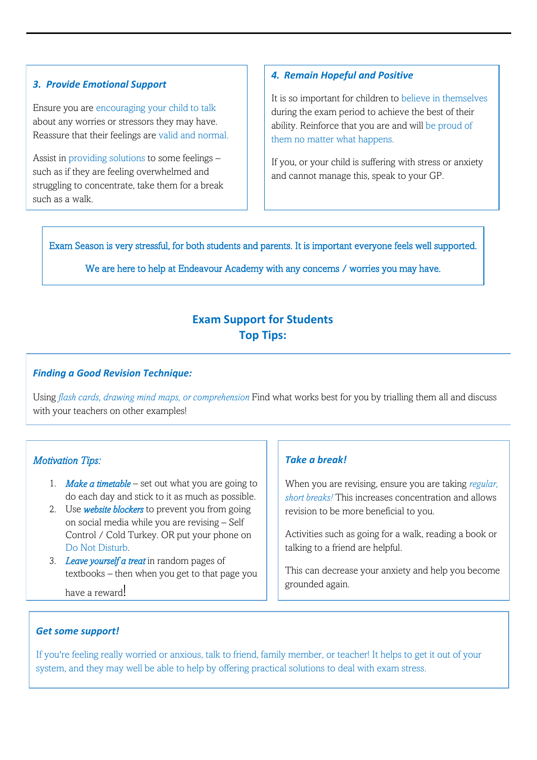#### *3. Provide Emotional Support*

Ensure you are encouraging your child to talk about any worries or stressors they may have. Reassure that their feelings are valid and normal.

Assist in providing solutions to some feelings – such as if they are feeling overwhelmed and struggling to concentrate, take them for a break such as a walk.

## *4. Remain Hopeful and Positive*

It is so important for children to believe in themselves during the exam period to achieve the best of their ability. Reinforce that you are and will be proud of them no matter what happens.

If you, or your child is suffering with stress or anxiety and cannot manage this, speak to your GP.

Exam Season is very stressful, for both students and parents. It is important everyone feels well supported.

We are here to help at Endeavour Academy with any concerns / worries you may have.

## **Exam Support for Students Top Tips:**

Ī

## *Finding a Good Revision Technique:*

Using *flash cards, drawing mind maps, or comprehension* Find what works best for you by trialling them all and discuss with your teachers on other examples!

 $\overline{a}$ 

 $\overline{\phantom{a}}$ 

## *Motivation Tips:*

- 1. *Make a timetable* set out what you are going to do each day and stick to it as much as possible.
- 2. Use *website blockers* to prevent you from going on social media while you are revising – Self Control / Cold Turkey. OR put your phone on Do Not Disturb.
- 3. *Leave yourself a treat* in random pages of textbooks – then when you get to that page you

have a reward!

## *Take a break!*

When you are revising, ensure you are taking *regular, short breaks!* This increases concentration and allows revision to be more beneficial to you.

Activities such as going for a walk, reading a book or talking to a friend are helpful.

This can decrease your anxiety and help you become grounded again.

Try not to compare yourself to what your friends are

## *Get some support!*

If you're feeling really worried or anxious, talk to friend, family member, or teacher! It helps to get it out of your system, and they may well be able to help by offering practical solutions to deal with exam stress.